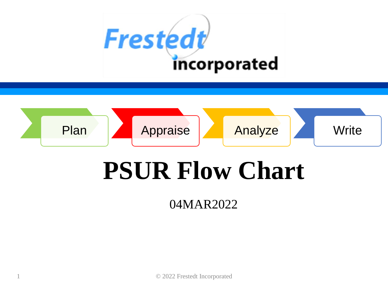



# **PSUR Flow Chart**

04MAR2022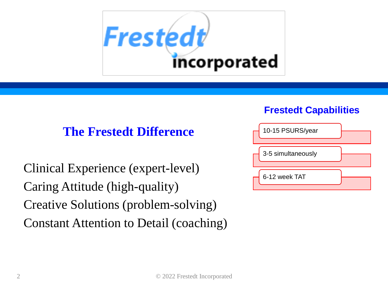

### **The Frestedt Difference**

Clinical Experience (expert-level) Caring Attitude (high-quality) Creative Solutions (problem-solving) Constant Attention to Detail (coaching)

#### **Frestedt Capabilities**

| 10-15 PSURS/year   |  |
|--------------------|--|
| 3-5 simultaneously |  |
| 6-12 week TAT      |  |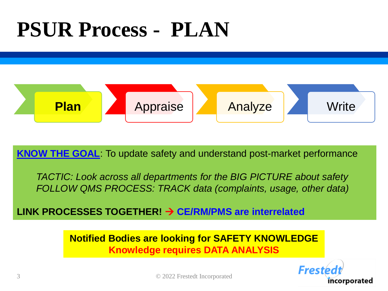## **PSUR Process - PLAN**



**KNOW THE GOAL**: To update safety and understand post-market performance

*TACTIC: Look across all departments for the BIG PICTURE about safety FOLLOW QMS PROCESS: TRACK data (complaints, usage, other data)*

**LINK PROCESSES TOGETHER!** → **CE/RM/PMS are interrelated** 

**Notified Bodies are looking for SAFETY KNOWLEDGE Knowledge requires DATA ANALYSIS**

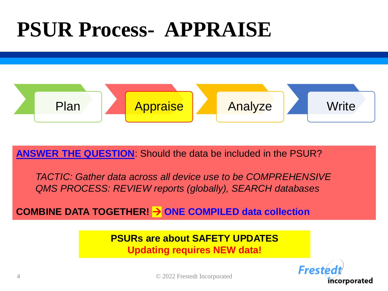## **PSUR Process- APPRAISE**



**ANSWER THE QUESTION**: Should the data be included in the PSUR?

*TACTIC: Gather data across all device use to be COMPREHENSIVE QMS PROCESS: REVIEW reports (globally), SEARCH databases*

**COMBINE DATA TOGETHER!** → **ONE COMPILED data collection**

**PSURs are about SAFETY UPDATES Updating requires NEW data!**

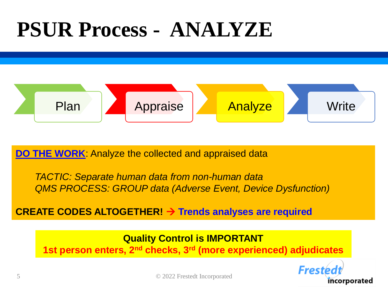### **PSUR Process - ANALYZE**



**DO THE WORK:** Analyze the collected and appraised data

*TACTIC: Separate human data from non-human data QMS PROCESS: GROUP data (Adverse Event, Device Dysfunction)*

#### **CREATE CODES ALTOGETHER!** → **Trends analyses are required**

**Quality Control is IMPORTANT 1st person enters, 2nd checks, 3rd (more experienced) adjudicates**

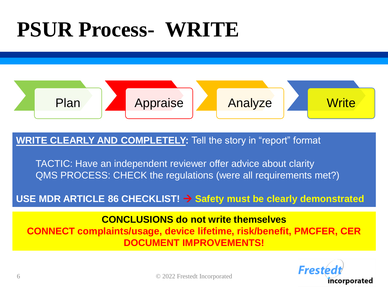## **PSUR Process- WRITE**



#### **WRITE CLEARLY AND COMPLETELY:** Tell the story in "report" format

TACTIC: Have an independent reviewer offer advice about clarity QMS PROCESS: CHECK the regulations (were all requirements met?)

USE MDR ARTICLE 86 CHECKLIST! → Safety must be clearly demonstrated

**CONCLUSIONS do not write themselves**

**CONNECT complaints/usage, device lifetime, risk/benefit, PMCFER, CER DOCUMENT IMPROVEMENTS!**

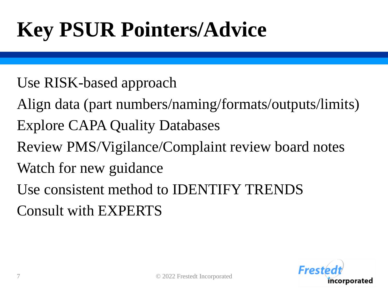# **Key PSUR Pointers/Advice**

- Use RISK-based approach
- Align data (part numbers/naming/formats/outputs/limits) Explore CAPA Quality Databases
- Review PMS/Vigilance/Complaint review board notes
- Watch for new guidance
- Use consistent method to IDENTIFY TRENDS Consult with EXPERTS